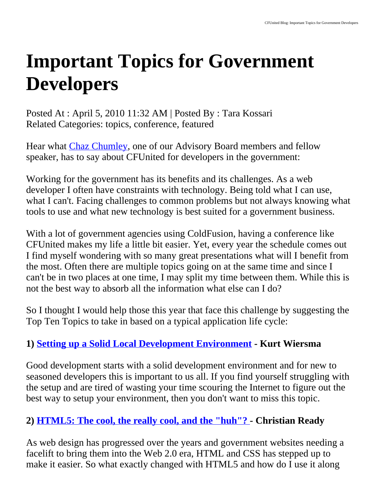# **Important Topics for Government Developers**

Posted At : April 5, 2010 11:32 AM | Posted By : Tara Kossari Related Categories: topics, conference, featured

Hear what [Chaz Chumley](http://cfunited.com/2010/speakers/880-chaz-chumley), one of our Advisory Board members and fellow speaker, has to say about CFUnited for developers in the government:

Working for the government has its benefits and its challenges. As a web developer I often have constraints with technology. Being told what I can use, what I can't. Facing challenges to common problems but not always knowing what tools to use and what new technology is best suited for a government business.

With a lot of government agencies using ColdFusion, having a conference like CFUnited makes my life a little bit easier. Yet, every year the schedule comes out I find myself wondering with so many great presentations what will I benefit from the most. Often there are multiple topics going on at the same time and since I can't be in two places at one time, I may split my time between them. While this is not the best way to absorb all the information what else can I do?

So I thought I would help those this year that face this challenge by suggesting the Top Ten Topics to take in based on a typical application life cycle:

# **1) [Setting up a Solid Local Development Environment](http://cfunited.com/2010/topics/408-setting-up-a-solid-local-development-environment) - Kurt Wiersma**

Good development starts with a solid development environment and for new to seasoned developers this is important to us all. If you find yourself struggling with the setup and are tired of wasting your time scouring the Internet to figure out the best way to setup your environment, then you don't want to miss this topic.

# **2) [HTML5: The cool, the really cool, and the "huh"? -](http://cfunited.com/2010/topics/425-hmtl5-the-cool-the-really-cool-and-the-huh) Christian Ready**

As web design has progressed over the years and government websites needing a facelift to bring them into the Web 2.0 era, HTML and CSS has stepped up to make it easier. So what exactly changed with HTML5 and how do I use it along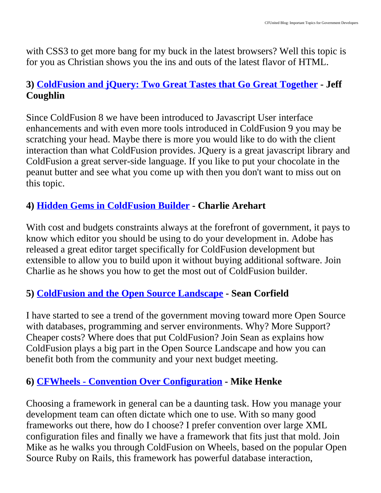with CSS3 to get more bang for my buck in the latest browsers? Well this topic is for you as Christian shows you the ins and outs of the latest flavor of HTML.

### **3) [ColdFusion and jQuery: Two Great Tastes that Go Great Together](http://cfunited.com/2010/topics/378-coldfusion-and-jquery-two-great-tastes-that-go-great-together) - Jeff Coughlin**

Since ColdFusion 8 we have been introduced to Javascript User interface enhancements and with even more tools introduced in ColdFusion 9 you may be scratching your head. Maybe there is more you would like to do with the client interaction than what ColdFusion provides. JQuery is a great javascript library and ColdFusion a great server-side language. If you like to put your chocolate in the peanut butter and see what you come up with then you don't want to miss out on this topic.

## **4) [Hidden Gems in ColdFusion Builder](http://cfunited.com/2010/topics/412-hidden-gems-in-coldfusion-builder) - Charlie Arehart**

With cost and budgets constraints always at the forefront of government, it pays to know which editor you should be using to do your development in. Adobe has released a great editor target specifically for ColdFusion development but extensible to allow you to build upon it without buying additional software. Join Charlie as he shows you how to get the most out of ColdFusion builder.

# **5) [ColdFusion and the Open Source Landscape](http://cfunited.com/2010/topics/409-coldfusion-and-the-open-source-lanscape) - Sean Corfield**

I have started to see a trend of the government moving toward more Open Source with databases, programming and server environments. Why? More Support? Cheaper costs? Where does that put ColdFusion? Join Sean as explains how ColdFusion plays a big part in the Open Source Landscape and how you can benefit both from the community and your next budget meeting.

# **6) [CFWheels - Convention Over Configuration](http://cfunited.com/2010/topics/388-coldfusion-on-wheels--convention-over-configuration) - Mike Henke**

Choosing a framework in general can be a daunting task. How you manage your development team can often dictate which one to use. With so many good frameworks out there, how do I choose? I prefer convention over large XML configuration files and finally we have a framework that fits just that mold. Join Mike as he walks you through ColdFusion on Wheels, based on the popular Open Source Ruby on Rails, this framework has powerful database interaction,